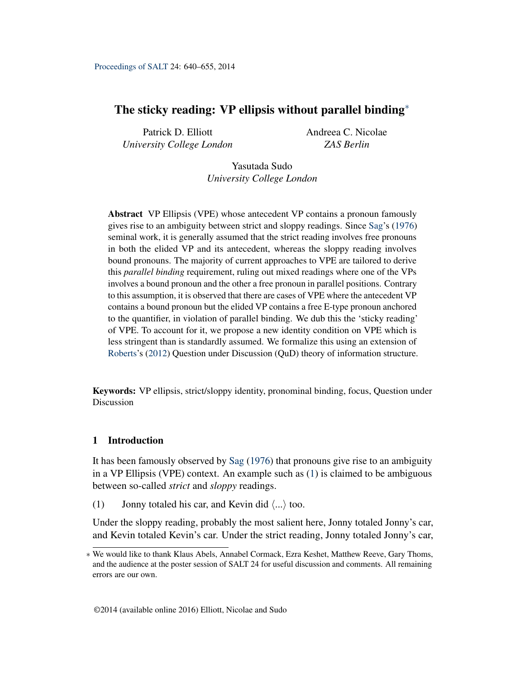# <span id="page-0-1"></span>The sticky reading: VP ellipsis without parallel binding<sup>\*</sup>

Patrick D. Elliott *University College London* Andreea C. Nicolae *ZAS Berlin*

Yasutada Sudo *University College London*

Abstract VP Ellipsis (VPE) whose antecedent VP contains a pronoun famously gives rise to an ambiguity between strict and sloppy readings. Since [Sag'](#page-14-0)s [\(1976\)](#page-14-0) seminal work, it is generally assumed that the strict reading involves free pronouns in both the elided VP and its antecedent, whereas the sloppy reading involves bound pronouns. The majority of current approaches to VPE are tailored to derive this *parallel binding* requirement, ruling out mixed readings where one of the VPs involves a bound pronoun and the other a free pronoun in parallel positions. Contrary to this assumption, it is observed that there are cases of VPE where the antecedent VP contains a bound pronoun but the elided VP contains a free E-type pronoun anchored to the quantifier, in violation of parallel binding. We dub this the 'sticky reading' of VPE. To account for it, we propose a new identity condition on VPE which is less stringent than is standardly assumed. We formalize this using an extension of [Roberts'](#page-14-1)s [\(2012\)](#page-14-1) Question under Discussion (QuD) theory of information structure.

Keywords: VP ellipsis, strict/sloppy identity, pronominal binding, focus, Question under Discussion

# 1 Introduction

It has been famously observed by [Sag](#page-14-0) [\(1976\)](#page-14-0) that pronouns give rise to an ambiguity in a VP Ellipsis (VPE) context. An example such as [\(1\)](#page-0-0) is claimed to be ambiguous between so-called *strict* and *sloppy* readings.

<span id="page-0-0"></span>(1) Jonny totaled his car, and Kevin did  $\langle ... \rangle$  too.

Under the sloppy reading, probably the most salient here, Jonny totaled Jonny's car, and Kevin totaled Kevin's car. Under the strict reading, Jonny totaled Jonny's car,

<sup>∗</sup> We would like to thank Klaus Abels, Annabel Cormack, Ezra Keshet, Matthew Reeve, Gary Thoms, and the audience at the poster session of SALT 24 for useful discussion and comments. All remaining errors are our own.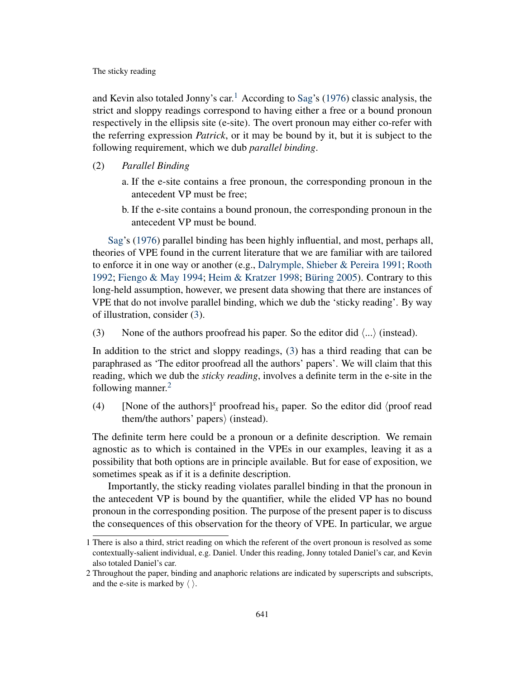and Kevin also totaled Jonny's car.<sup>[1](#page-0-1)</sup> According to [Sag'](#page-14-0)s [\(1976\)](#page-14-0) classic analysis, the strict and sloppy readings correspond to having either a free or a bound pronoun respectively in the ellipsis site (e-site). The overt pronoun may either co-refer with the referring expression *Patrick*, or it may be bound by it, but it is subject to the following requirement, which we dub *parallel binding*.

- <span id="page-1-1"></span>(2) *Parallel Binding*
	- a. If the e-site contains a free pronoun, the corresponding pronoun in the antecedent VP must be free;
	- b. If the e-site contains a bound pronoun, the corresponding pronoun in the antecedent VP must be bound.

[Sag'](#page-14-0)s [\(1976\)](#page-14-0) parallel binding has been highly influential, and most, perhaps all, theories of VPE found in the current literature that we are familiar with are tailored to enforce it in one way or another (e.g., [Dalrymple, Shieber & Pereira](#page-13-0) [1991;](#page-13-0) [Rooth](#page-14-2) [1992;](#page-14-2) [Fiengo & May](#page-13-1) [1994;](#page-13-1) [Heim & Kratzer](#page-14-3) [1998;](#page-14-3) [Büring](#page-13-2) [2005\)](#page-13-2). Contrary to this long-held assumption, however, we present data showing that there are instances of VPE that do not involve parallel binding, which we dub the 'sticky reading'. By way of illustration, consider [\(3\)](#page-1-0).

<span id="page-1-0"></span>(3) None of the authors proofread his paper. So the editor did  $\langle ... \rangle$  (instead).

In addition to the strict and sloppy readings, [\(3\)](#page-1-0) has a third reading that can be paraphrased as 'The editor proofread all the authors' papers'. We will claim that this reading, which we dub the *sticky reading*, involves a definite term in the e-site in the following manner. $2$ 

(4) [None of the authors]<sup>*x*</sup> proofread his<sub>*x*</sub> paper. So the editor did  $\langle$  proof read them/the authors' papers $\rangle$  (instead).

The definite term here could be a pronoun or a definite description. We remain agnostic as to which is contained in the VPEs in our examples, leaving it as a possibility that both options are in principle available. But for ease of exposition, we sometimes speak as if it is a definite description.

Importantly, the sticky reading violates parallel binding in that the pronoun in the antecedent VP is bound by the quantifier, while the elided VP has no bound pronoun in the corresponding position. The purpose of the present paper is to discuss the consequences of this observation for the theory of VPE. In particular, we argue

<sup>1</sup> There is also a third, strict reading on which the referent of the overt pronoun is resolved as some contextually-salient individual, e.g. Daniel. Under this reading, Jonny totaled Daniel's car, and Kevin also totaled Daniel's car.

<sup>2</sup> Throughout the paper, binding and anaphoric relations are indicated by superscripts and subscripts, and the e-site is marked by  $\langle \ \rangle$ .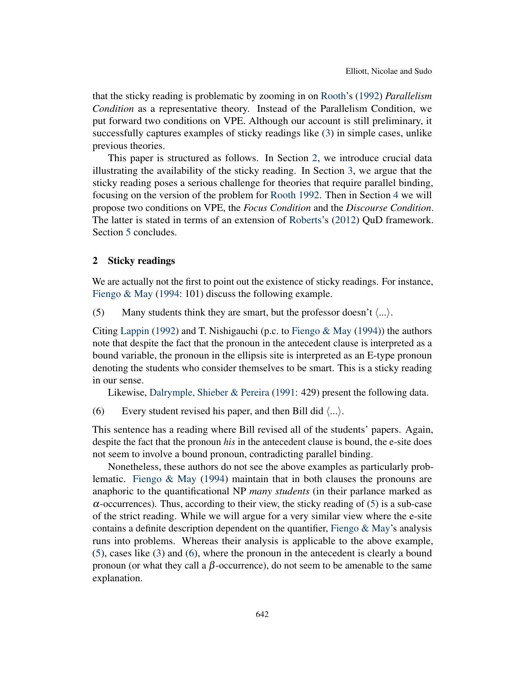that the sticky reading is problematic by zooming in on [Rooth'](#page-14-2)s [\(1992\)](#page-14-2) *Parallelism Condition* as a representative theory. Instead of the Parallelism Condition, we put forward two conditions on VPE. Although our account is still preliminary, it successfully captures examples of sticky readings like [\(3\)](#page-1-0) in simple cases, unlike previous theories.

This paper is structured as follows. In Section [2,](#page-2-0) we introduce crucial data illustrating the availability of the sticky reading. In Section [3,](#page-5-0) we argue that the sticky reading poses a serious challenge for theories that require parallel binding, focusing on the version of the problem for [Rooth](#page-14-2) [1992.](#page-14-2) Then in Section [4](#page-7-0) we will propose two conditions on VPE, the *Focus Condition* and the *Discourse Condition*. The latter is stated in terms of an extension of [Roberts'](#page-14-1)s [\(2012\)](#page-14-1) QuD framework. Section [5](#page-12-0) concludes.

# <span id="page-2-0"></span>2 Sticky readings

We are actually not the first to point out the existence of sticky readings. For instance, [Fiengo & May](#page-13-1) [\(1994:](#page-13-1) 101) discuss the following example.

<span id="page-2-1"></span>(5) Many students think they are smart, but the professor doesn't  $\langle ... \rangle$ .

Citing [Lappin](#page-14-4) [\(1992\)](#page-14-4) and T. Nishigauchi (p.c. to [Fiengo & May](#page-13-1) [\(1994\)](#page-13-1)) the authors note that despite the fact that the pronoun in the antecedent clause is interpreted as a bound variable, the pronoun in the ellipsis site is interpreted as an E-type pronoun denoting the students who consider themselves to be smart. This is a sticky reading in our sense.

Likewise, [Dalrymple, Shieber & Pereira](#page-13-0) [\(1991:](#page-13-0) 429) present the following data.

<span id="page-2-2"></span>(6) Every student revised his paper, and then Bill did  $\langle ... \rangle$ .

This sentence has a reading where Bill revised all of the students' papers. Again, despite the fact that the pronoun *his* in the antecedent clause is bound, the e-site does not seem to involve a bound pronoun, contradicting parallel binding.

Nonetheless, these authors do not see the above examples as particularly problematic. [Fiengo & May](#page-13-1) [\(1994\)](#page-13-1) maintain that in both clauses the pronouns are anaphoric to the quantificational NP *many students* (in their parlance marked as  $\alpha$ -occurrences). Thus, according to their view, the sticky reading of [\(5\)](#page-2-1) is a sub-case of the strict reading. While we will argue for a very similar view where the e-site contains a definite description dependent on the quantifier, Fiengo  $\&$  May's analysis runs into problems. Whereas their analysis is applicable to the above example, [\(5\)](#page-2-1), cases like [\(3\)](#page-1-0) and [\(6\)](#page-2-2), where the pronoun in the antecedent is clearly a bound pronoun (or what they call a β-occurrence), do not seem to be amenable to the same explanation.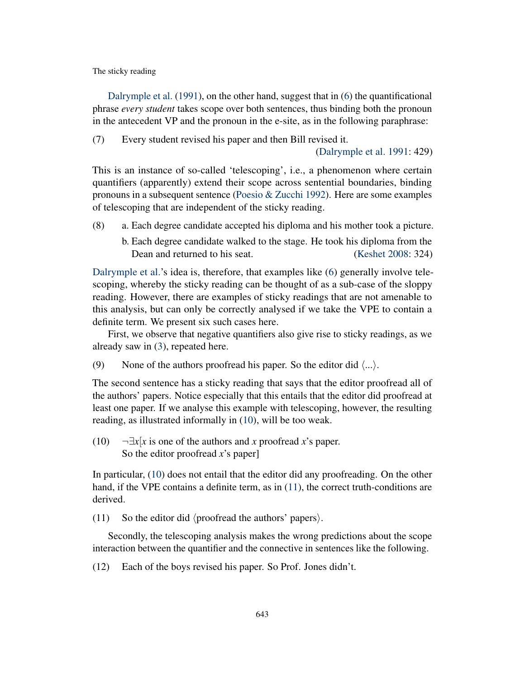[Dalrymple et al.](#page-13-0) [\(1991\)](#page-13-0), on the other hand, suggest that in [\(6\)](#page-2-2) the quantificational phrase *every student* takes scope over both sentences, thus binding both the pronoun in the antecedent VP and the pronoun in the e-site, as in the following paraphrase:

(7) Every student revised his paper and then Bill revised it.

[\(Dalrymple et al.](#page-13-0) [1991:](#page-13-0) 429)

This is an instance of so-called 'telescoping', i.e., a phenomenon where certain quantifiers (apparently) extend their scope across sentential boundaries, binding pronouns in a subsequent sentence (Poesio  $&\&$  Zucchi [1992\)](#page-14-5). Here are some examples of telescoping that are independent of the sticky reading.

- (8) a. Each degree candidate accepted his diploma and his mother took a picture.
	- b. Each degree candidate walked to the stage. He took his diploma from the Dean and returned to his seat. [\(Keshet](#page-14-6) [2008:](#page-14-6) 324)

[Dalrymple et al.'](#page-13-0)s idea is, therefore, that examples like [\(6\)](#page-2-2) generally involve telescoping, whereby the sticky reading can be thought of as a sub-case of the sloppy reading. However, there are examples of sticky readings that are not amenable to this analysis, but can only be correctly analysed if we take the VPE to contain a definite term. We present six such cases here.

First, we observe that negative quantifiers also give rise to sticky readings, as we already saw in [\(3\)](#page-1-0), repeated here.

(9) None of the authors proofread his paper. So the editor did  $\langle ... \rangle$ .

The second sentence has a sticky reading that says that the editor proofread all of the authors' papers. Notice especially that this entails that the editor did proofread at least one paper. If we analyse this example with telescoping, however, the resulting reading, as illustrated informally in [\(10\)](#page-3-0), will be too weak.

<span id="page-3-0"></span>(10)  $\neg \exists x [x \text{ is one of the authors and } x \text{ proofread } x \text{'s paper.}$ So the editor proofread *x*'s paper]

In particular, [\(10\)](#page-3-0) does not entail that the editor did any proofreading. On the other hand, if the VPE contains a definite term, as in  $(11)$ , the correct truth-conditions are derived.

<span id="page-3-1"></span>(11) So the editor did  $\langle$  proofread the authors' papers $\rangle$ .

Secondly, the telescoping analysis makes the wrong predictions about the scope interaction between the quantifier and the connective in sentences like the following.

(12) Each of the boys revised his paper. So Prof. Jones didn't.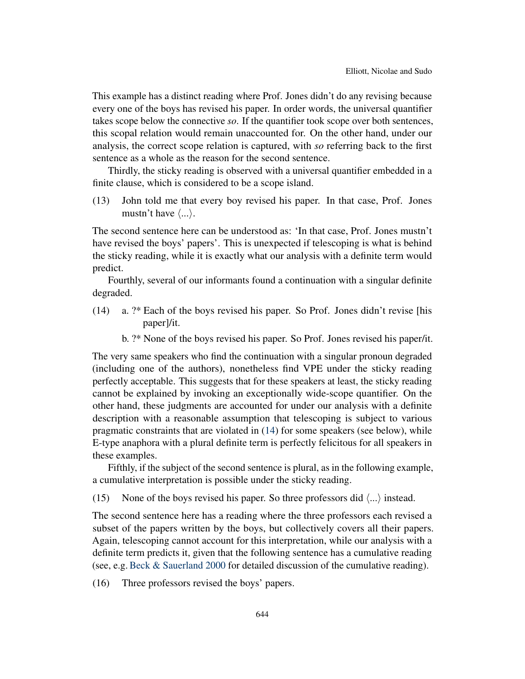This example has a distinct reading where Prof. Jones didn't do any revising because every one of the boys has revised his paper. In order words, the universal quantifier takes scope below the connective *so*. If the quantifier took scope over both sentences, this scopal relation would remain unaccounted for. On the other hand, under our analysis, the correct scope relation is captured, with *so* referring back to the first sentence as a whole as the reason for the second sentence.

Thirdly, the sticky reading is observed with a universal quantifier embedded in a finite clause, which is considered to be a scope island.

(13) John told me that every boy revised his paper. In that case, Prof. Jones mustn't have  $\langle \ldots \rangle$ .

The second sentence here can be understood as: 'In that case, Prof. Jones mustn't have revised the boys' papers'. This is unexpected if telescoping is what is behind the sticky reading, while it is exactly what our analysis with a definite term would predict.

Fourthly, several of our informants found a continuation with a singular definite degraded.

- <span id="page-4-0"></span>(14) a. ?\* Each of the boys revised his paper. So Prof. Jones didn't revise [his paper]/it.
	- b. ?\* None of the boys revised his paper. So Prof. Jones revised his paper/it.

The very same speakers who find the continuation with a singular pronoun degraded (including one of the authors), nonetheless find VPE under the sticky reading perfectly acceptable. This suggests that for these speakers at least, the sticky reading cannot be explained by invoking an exceptionally wide-scope quantifier. On the other hand, these judgments are accounted for under our analysis with a definite description with a reasonable assumption that telescoping is subject to various pragmatic constraints that are violated in [\(14\)](#page-4-0) for some speakers (see below), while E-type anaphora with a plural definite term is perfectly felicitous for all speakers in these examples.

Fifthly, if the subject of the second sentence is plural, as in the following example, a cumulative interpretation is possible under the sticky reading.

(15) None of the boys revised his paper. So three professors did  $\langle ... \rangle$  instead.

The second sentence here has a reading where the three professors each revised a subset of the papers written by the boys, but collectively covers all their papers. Again, telescoping cannot account for this interpretation, while our analysis with a definite term predicts it, given that the following sentence has a cumulative reading (see, e.g. [Beck & Sauerland](#page-13-3) [2000](#page-13-3) for detailed discussion of the cumulative reading).

(16) Three professors revised the boys' papers.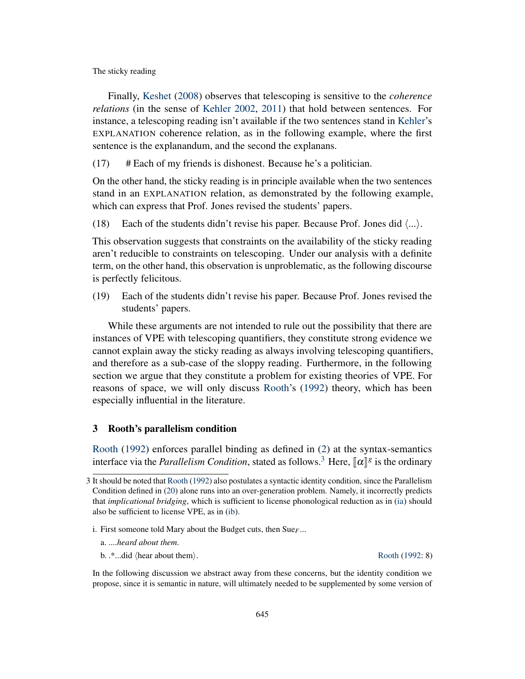Finally, [Keshet](#page-14-6) [\(2008\)](#page-14-6) observes that telescoping is sensitive to the *coherence relations* (in the sense of [Kehler](#page-14-7) [2002,](#page-14-7) [2011\)](#page-14-8) that hold between sentences. For instance, a telescoping reading isn't available if the two sentences stand in [Kehler'](#page-14-7)s EXPLANATION coherence relation, as in the following example, where the first sentence is the explanandum, and the second the explanans.

(17) # Each of my friends is dishonest. Because he's a politician.

On the other hand, the sticky reading is in principle available when the two sentences stand in an EXPLANATION relation, as demonstrated by the following example, which can express that Prof. Jones revised the students' papers.

(18) Each of the students didn't revise his paper. Because Prof. Jones did  $\langle ... \rangle$ .

This observation suggests that constraints on the availability of the sticky reading aren't reducible to constraints on telescoping. Under our analysis with a definite term, on the other hand, this observation is unproblematic, as the following discourse is perfectly felicitous.

(19) Each of the students didn't revise his paper. Because Prof. Jones revised the students' papers.

While these arguments are not intended to rule out the possibility that there are instances of VPE with telescoping quantifiers, they constitute strong evidence we cannot explain away the sticky reading as always involving telescoping quantifiers, and therefore as a sub-case of the sloppy reading. Furthermore, in the following section we argue that they constitute a problem for existing theories of VPE. For reasons of space, we will only discuss [Rooth'](#page-14-2)s [\(1992\)](#page-14-2) theory, which has been especially influential in the literature.

# <span id="page-5-0"></span>3 Rooth's parallelism condition

[Rooth](#page-14-2) [\(1992\)](#page-14-2) enforces parallel binding as defined in [\(2\)](#page-1-1) at the syntax-semantics interface via the *Parallelism Condition*, stated as follows.<sup>[3](#page-0-1)</sup> Here,  $[\![\alpha]\!]$ <sup>*g*</sup> is the ordinary

<span id="page-5-2"></span>b.  $*...$ did (hear about them). [Rooth](#page-14-2) [\(1992:](#page-14-2) 8)

In the following discussion we abstract away from these concerns, but the identity condition we propose, since it is semantic in nature, will ultimately needed to be supplemented by some version of

<sup>3</sup> It should be noted that [Rooth](#page-14-2) [\(1992\)](#page-14-2) also postulates a syntactic identity condition, since the Parallelism Condition defined in [\(20\)](#page-6-0) alone runs into an over-generation problem. Namely, it incorrectly predicts that *implicational bridging*, which is sufficient to license phonological reduction as in [\(ia\)](#page-5-1) should also be sufficient to license VPE, as in [\(ib\)](#page-5-2).

i. First someone told Mary about the Budget cuts, then Sue*F*...

<span id="page-5-1"></span>a. ....*heard about them*.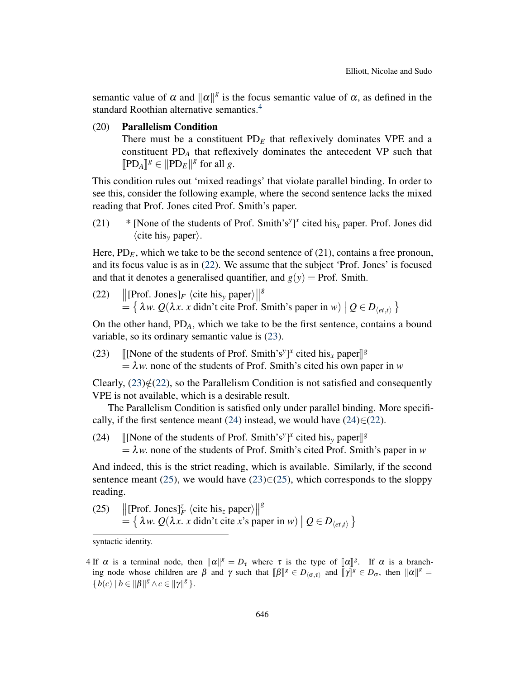semantic value of  $\alpha$  and  $\|\alpha\|^g$  is the focus semantic value of  $\alpha$ , as defined in the standard Roothian alternative semantics.<sup>[4](#page-0-1)</sup>

<span id="page-6-0"></span>(20) Parallelism Condition

There must be a constituent  $PD<sub>E</sub>$  that reflexively dominates VPE and a constituent PD*<sup>A</sup>* that reflexively dominates the antecedent VP such that  $[PD_A]^g \in ||PD_E||^g$  for all *g*.

This condition rules out 'mixed readings' that violate parallel binding. In order to see this, consider the following example, where the second sentence lacks the mixed reading that Prof. Jones cited Prof. Smith's paper.

<span id="page-6-5"></span>(21)  $*$  [None of the students of Prof. Smith's<sup>y</sup>]<sup>x</sup> cited his<sub>x</sub> paper. Prof. Jones did  $\langle$ cite his<sub>*y*</sub> paper $\rangle$ .

Here,  $PD_E$ , which we take to be the second sentence of (21), contains a free pronoun, and its focus value is as in [\(22\)](#page-6-1). We assume that the subject 'Prof. Jones' is focused and that it denotes a generalised quantifier, and  $g(y)$  = Prof. Smith.

<span id="page-6-1"></span>(22)  $\Vert$ [Prof. Jones] $_F$  \cite his<sub>y</sub> paper) $\Vert$ *g*  $\mathcal{L} = \{ \lambda w. Q(\lambda x. x \text{ didn't cite Prof. Smith's paper in } w) \mid Q \in D_{\langle et, t \rangle} \}$ 

On the other hand, PD*A*, which we take to be the first sentence, contains a bound variable, so its ordinary semantic value is [\(23\)](#page-6-2).

<span id="page-6-2"></span>(23) [[None of the students of Prof. Smith's<sup>*y*</sup>]<sup>*x*</sup> cited his<sub>*x*</sub> paper]<sup>[8</sup><br>  $\frac{1}{2}$  *y* none of the students of Prof. Smith's gited his own p  $= \lambda w$ . none of the students of Prof. Smith's cited his own paper in *w* 

Clearly,  $(23) \notin (22)$  $(23) \notin (22)$  $(23) \notin (22)$ , so the Parallelism Condition is not satisfied and consequently VPE is not available, which is a desirable result.

The Parallelism Condition is satisfied only under parallel binding. More specifi-cally, if the first sentence meant [\(24\)](#page-6-3) instead, we would have  $(24) \in (22)$  $(24) \in (22)$ .

<span id="page-6-3"></span>(24) [[None of the students of Prof. Smith's<sup>*y*</sup>]<sup>*x*</sup> cited his<sub>*y*</sub> paper]<sup>[8</sup><br>-  $\lambda$ *y*; pope of the students of Prof. Smith's cited Prof. Smit  $= \lambda w$ . none of the students of Prof. Smith's cited Prof. Smith's paper in *w* 

And indeed, this is the strict reading, which is available. Similarly, if the second sentence meant [\(25\)](#page-6-4), we would have [\(23\)](#page-6-2) $\in$ (25), which corresponds to the sloppy reading.

<span id="page-6-4"></span>(25)  $\left\| \left[ \text{Prof. Jones} \right]_F^z \left\langle \text{cite his}_z \text{ paper} \right\rangle \right\|$ *g*  $= \{ \lambda w. Q(\lambda x. x \text{ didn't cite } x \text{'s paper in } w) \mid Q \in D_{\langle et, t \rangle} \}$ 

syntactic identity.

<sup>4</sup> If  $\alpha$  is a terminal node, then  $\|\alpha\|^g = D_{\tau}$  where  $\tau$  is the type of  $\llbracket \alpha \rrbracket^g$ . If  $\alpha$  is a branch-<br>ing node whose children are  $\beta$  and  $\alpha$  such that  $\llbracket \beta \rrbracket^g \subset D_{\tau}$  and  $\llbracket \alpha \rrbracket^g \subset D_{\tau}$  then  $\|\$ ing node whose children are  $\beta$  and  $\gamma$  such that  $[\![\beta]\!]^g \in D_{\langle \sigma,\tau \rangle}$  and  $[\![\gamma]\!]^g \in D_{\sigma}$ , then  $\|\alpha\|^g =$  ${b(c) | b \in ||\beta||^g \land c \in ||\gamma||^g}.$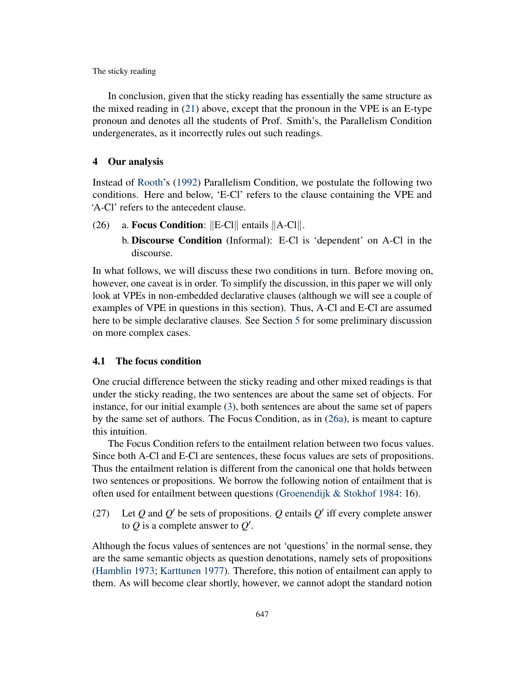In conclusion, given that the sticky reading has essentially the same structure as the mixed reading in [\(21\)](#page-6-5) above, except that the pronoun in the VPE is an E-type pronoun and denotes all the students of Prof. Smith's, the Parallelism Condition undergenerates, as it incorrectly rules out such readings.

#### <span id="page-7-0"></span>4 Our analysis

Instead of [Rooth'](#page-14-2)s [\(1992\)](#page-14-2) Parallelism Condition, we postulate the following two conditions. Here and below, 'E-Cl' refers to the clause containing the VPE and 'A-Cl' refers to the antecedent clause.

- <span id="page-7-1"></span>(26) a. Focus Condition:  $\|E-C\|$  entails  $\|A-C\|$ .
	- b. Discourse Condition (Informal): E-Cl is 'dependent' on A-Cl in the discourse.

In what follows, we will discuss these two conditions in turn. Before moving on, however, one caveat is in order. To simplify the discussion, in this paper we will only look at VPEs in non-embedded declarative clauses (although we will see a couple of examples of VPE in questions in this section). Thus, A-Cl and E-Cl are assumed here to be simple declarative clauses. See Section [5](#page-12-0) for some preliminary discussion on more complex cases.

#### 4.1 The focus condition

One crucial difference between the sticky reading and other mixed readings is that under the sticky reading, the two sentences are about the same set of objects. For instance, for our initial example [\(3\)](#page-1-0), both sentences are about the same set of papers by the same set of authors. The Focus Condition, as in [\(26a\)](#page-7-1), is meant to capture this intuition.

The Focus Condition refers to the entailment relation between two focus values. Since both A-Cl and E-Cl are sentences, these focus values are sets of propositions. Thus the entailment relation is different from the canonical one that holds between two sentences or propositions. We borrow the following notion of entailment that is often used for entailment between questions [\(Groenendijk & Stokhof](#page-13-4) [1984:](#page-13-4) 16).

(27) Let  $Q$  and  $Q'$  be sets of propositions.  $Q$  entails  $Q'$  iff every complete answer to  $Q$  is a complete answer to  $Q'$ .

Although the focus values of sentences are not 'questions' in the normal sense, they are the same semantic objects as question denotations, namely sets of propositions [\(Hamblin](#page-13-5) [1973;](#page-13-5) [Karttunen](#page-14-9) [1977\)](#page-14-9). Therefore, this notion of entailment can apply to them. As will become clear shortly, however, we cannot adopt the standard notion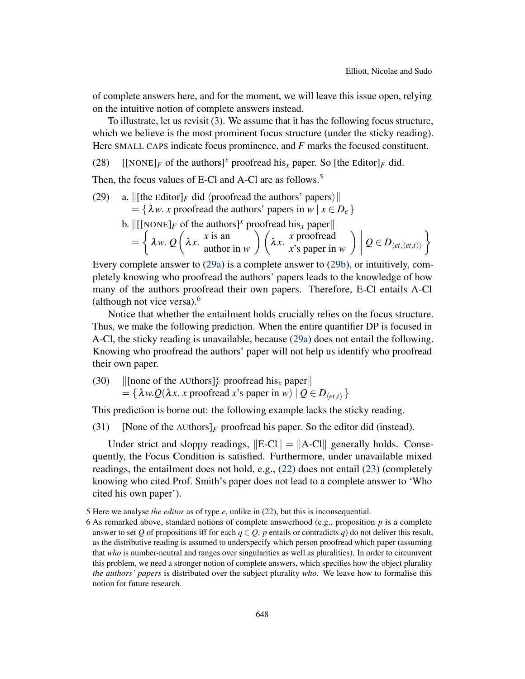of complete answers here, and for the moment, we will leave this issue open, relying on the intuitive notion of complete answers instead.

To illustrate, let us revisit [\(3\)](#page-1-0). We assume that it has the following focus structure, which we believe is the most prominent focus structure (under the sticky reading). Here SMALL CAPS indicate focus prominence, and *F* marks the focused constituent.

(28) [[NONE] $_F$  of the authors]<sup>x</sup> proofread his<sub>x</sub> paper. So [the Editor] $_F$  did.

Then, the focus values of E-Cl and A-Cl are as follows.<sup>[5](#page-0-1)</sup>

- <span id="page-8-1"></span><span id="page-8-0"></span>(29) a.  $\left\| \right\|$  [the Editor]<sub>*F*</sub> did (proofread the authors' papers) $\left\| \right\|$ 
	- $= \{\lambda w. x \text{ proofread the authors' papers in  $w \mid x \in D_e\}$$ 
		- b.  $\left\| \begin{bmatrix} [\text{None}]_F \text{ of the authors} \end{bmatrix}^x \text{ proofread his}_x \text{ paper} \right\|$

$$
= \left\{ \lambda w. Q\left(\lambda x. \begin{array}{c} x \text{ is an} \\ \text{author in } w \end{array}\right) \left(\lambda x. \begin{array}{c} x \text{ proofread} \\ x \text{'s paper in } w \end{array}\right) \middle| Q \in D_{\langle et, \langle et, t \rangle \rangle} \right\}
$$

Every complete answer to [\(29a\)](#page-8-0) is a complete answer to [\(29b\)](#page-8-1), or intuitively, completely knowing who proofread the authors' papers leads to the knowledge of how many of the authors proofread their own papers. Therefore, E-Cl entails A-Cl (although not vice versa).[6](#page-0-1)

Notice that whether the entailment holds crucially relies on the focus structure. Thus, we make the following prediction. When the entire quantifier DP is focused in A-Cl, the sticky reading is unavailable, because [\(29a\)](#page-8-0) does not entail the following. Knowing who proofread the authors' paper will not help us identify who proofread their own paper.

(30)  $\Vert$  [none of the AUthors] $^x_F$  proofread his<sub>x</sub> paper $\Vert$  $= {\lambda w.Q(\lambda x. x)$  proofread *x*'s paper in *w*)  $| Q \in D_{\langle et, t \rangle} \}$ 

This prediction is borne out: the following example lacks the sticky reading.

(31) [None of the AUthors] $_F$  proofread his paper. So the editor did (instead).

Under strict and sloppy readings,  $\Vert E-C \Vert = \Vert A-C \Vert$  generally holds. Consequently, the Focus Condition is satisfied. Furthermore, under unavailable mixed readings, the entailment does not hold, e.g., [\(22\)](#page-6-1) does not entail [\(23\)](#page-6-2) (completely knowing who cited Prof. Smith's paper does not lead to a complete answer to 'Who cited his own paper').

<sup>5</sup> Here we analyse *the editor* as of type *e*, unlike in [\(22\)](#page-6-1), but this is inconsequential.

<sup>6</sup> As remarked above, standard notions of complete answerhood (e.g., proposition *p* is a complete answer to set *Q* of propositions iff for each  $q \in Q$ , *p* entails or contradicts *q*) do not deliver this result, as the distributive reading is assumed to underspecify which person proofread which paper (assuming that *who* is number-neutral and ranges over singularities as well as pluralities). In order to circumvent this problem, we need a stronger notion of complete answers, which specifies how the object plurality *the authors' papers* is distributed over the subject plurality *who*. We leave how to formalise this notion for future research.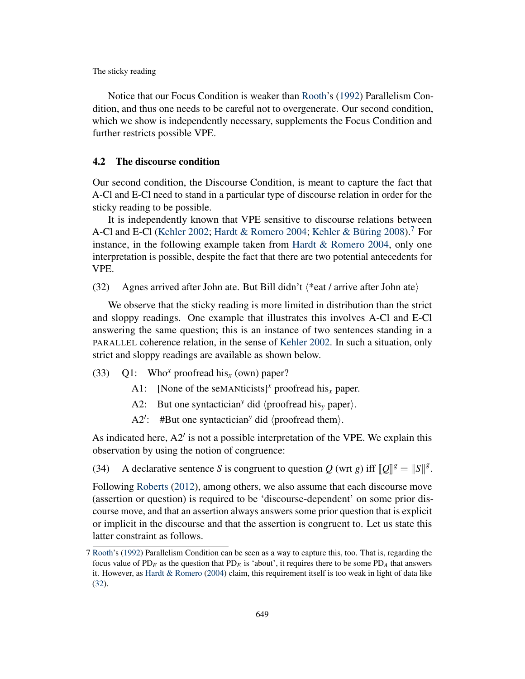Notice that our Focus Condition is weaker than [Rooth'](#page-14-2)s [\(1992\)](#page-14-2) Parallelism Condition, and thus one needs to be careful not to overgenerate. Our second condition, which we show is independently necessary, supplements the Focus Condition and further restricts possible VPE.

# 4.2 The discourse condition

Our second condition, the Discourse Condition, is meant to capture the fact that A-Cl and E-Cl need to stand in a particular type of discourse relation in order for the sticky reading to be possible.

It is independently known that VPE sensitive to discourse relations between A-Cl and E-Cl [\(Kehler](#page-14-7) [2002;](#page-14-7) [Hardt & Romero](#page-13-6) [2004;](#page-13-6) [Kehler & Büring](#page-14-10) [2008\)](#page-14-10).<sup>[7](#page-0-1)</sup> For instance, in the following example taken from [Hardt & Romero](#page-13-6) [2004,](#page-13-6) only one interpretation is possible, despite the fact that there are two potential antecedents for VPE.

<span id="page-9-0"></span>(32) Agnes arrived after John ate. But Bill didn't  $\langle$ \*eat / arrive after John ate $\rangle$ 

We observe that the sticky reading is more limited in distribution than the strict and sloppy readings. One example that illustrates this involves A-Cl and E-Cl answering the same question; this is an instance of two sentences standing in a PARALLEL coherence relation, in the sense of [Kehler](#page-14-7) [2002.](#page-14-7) In such a situation, only strict and sloppy readings are available as shown below.

- <span id="page-9-1"></span>(33) Q1: Who*<sup>x</sup>* proofread his*<sup>x</sup>* (own) paper?
	- A1: [None of the seMANticists]<sup>x</sup> proofread his<sub>x</sub> paper.
	- A2: But one syntactician<sup>y</sup> did  $\langle$  proofread his<sub>v</sub> paper $\rangle$ .
	- A2': #But one syntactician<sup>y</sup> did  $\langle$  proofread them $\rangle$ .

As indicated here,  $A2'$  is not a possible interpretation of the VPE. We explain this observation by using the notion of congruence:

(34) A declarative sentence *S* is congruent to question *Q* (wrt *g*) iff  $\llbracket Q \rrbracket^g = \llbracket S \rrbracket^g$ .

Following [Roberts](#page-14-1) [\(2012\)](#page-14-1), among others, we also assume that each discourse move (assertion or question) is required to be 'discourse-dependent' on some prior discourse move, and that an assertion always answers some prior question that is explicit or implicit in the discourse and that the assertion is congruent to. Let us state this latter constraint as follows.

<sup>7</sup> [Rooth'](#page-14-2)s [\(1992\)](#page-14-2) Parallelism Condition can be seen as a way to capture this, too. That is, regarding the focus value of  $PD_F$  as the question that  $PD_F$  is 'about', it requires there to be some  $PD_A$  that answers it. However, as [Hardt & Romero](#page-13-6) [\(2004\)](#page-13-6) claim, this requirement itself is too weak in light of data like [\(32\)](#page-9-0).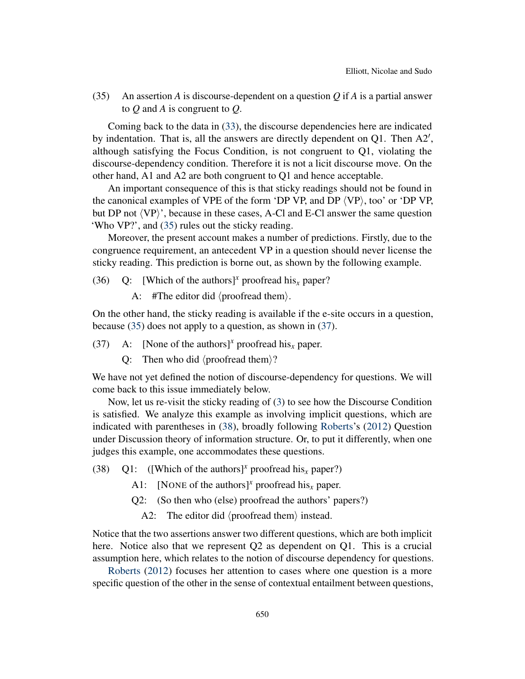<span id="page-10-0"></span>(35) An assertion *A* is discourse-dependent on a question *Q* if *A* is a partial answer to *Q* and *A* is congruent to *Q*.

Coming back to the data in [\(33\)](#page-9-1), the discourse dependencies here are indicated by indentation. That is, all the answers are directly dependent on  $Q1$ . Then  $A2'$ , although satisfying the Focus Condition, is not congruent to Q1, violating the discourse-dependency condition. Therefore it is not a licit discourse move. On the other hand, A1 and A2 are both congruent to Q1 and hence acceptable.

An important consequence of this is that sticky readings should not be found in the canonical examples of VPE of the form 'DP VP, and DP  $\langle VP \rangle$ , too' or 'DP VP, but DP not  $\langle VP \rangle'$ , because in these cases, A-Cl and E-Cl answer the same question 'Who VP?', and [\(35\)](#page-10-0) rules out the sticky reading.

Moreover, the present account makes a number of predictions. Firstly, due to the congruence requirement, an antecedent VP in a question should never license the sticky reading. This prediction is borne out, as shown by the following example.

- (36) Q: [Which of the authors]<sup>x</sup> proofread his<sub>x</sub> paper?
	- A: #The editor did  $\langle$  proofread them $\rangle$ .

On the other hand, the sticky reading is available if the e-site occurs in a question, because [\(35\)](#page-10-0) does not apply to a question, as shown in [\(37\)](#page-10-1).

- <span id="page-10-1"></span>(37) A: [None of the authors]<sup>x</sup> proofread his<sub>x</sub> paper.
	- Q: Then who did  $\langle$  proofread them $\rangle$ ?

We have not yet defined the notion of discourse-dependency for questions. We will come back to this issue immediately below.

Now, let us re-visit the sticky reading of [\(3\)](#page-1-0) to see how the Discourse Condition is satisfied. We analyze this example as involving implicit questions, which are indicated with parentheses in [\(38\)](#page-10-2), broadly following [Roberts'](#page-14-1)s [\(2012\)](#page-14-1) Question under Discussion theory of information structure. Or, to put it differently, when one judges this example, one accommodates these questions.

- <span id="page-10-2"></span>(38) Q1: ([Which of the authors]<sup>x</sup> proofread his<sub>x</sub> paper?)
	- A1: [NONE of the authors]<sup>x</sup> proofread his<sub>x</sub> paper.
	- Q2: (So then who (else) proofread the authors' papers?)
		- A2: The editor did  $\langle$  proofread them $\rangle$  instead.

Notice that the two assertions answer two different questions, which are both implicit here. Notice also that we represent Q2 as dependent on Q1. This is a crucial assumption here, which relates to the notion of discourse dependency for questions.

[Roberts](#page-14-1) [\(2012\)](#page-14-1) focuses her attention to cases where one question is a more specific question of the other in the sense of contextual entailment between questions,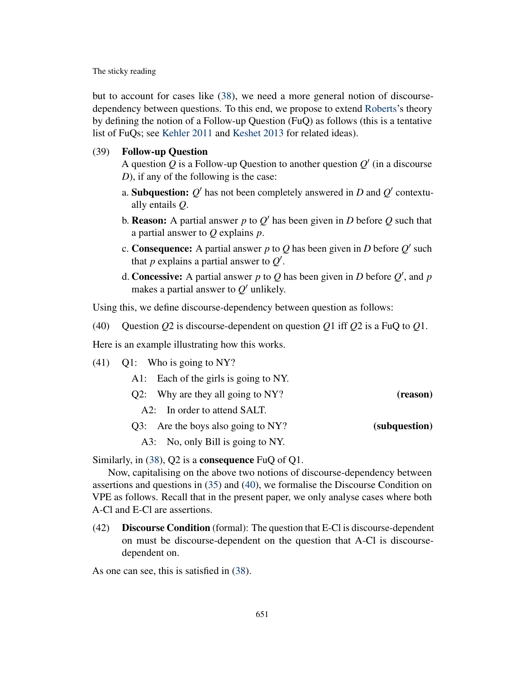but to account for cases like [\(38\)](#page-10-2), we need a more general notion of discoursedependency between questions. To this end, we propose to extend [Roberts'](#page-14-1)s theory by defining the notion of a Follow-up Question (FuQ) as follows (this is a tentative list of FuQs; see [Kehler](#page-14-8) [2011](#page-14-8) and [Keshet](#page-14-11) [2013](#page-14-11) for related ideas).

### (39) Follow-up Question

A question  $Q$  is a Follow-up Question to another question  $Q'$  (in a discourse *D*), if any of the following is the case:

- a. Subquestion:  $Q'$  has not been completely answered in *D* and  $Q'$  contextually entails *Q*.
- b. **Reason:** A partial answer  $p$  to  $Q'$  has been given in  $D$  before  $Q$  such that a partial answer to *Q* explains *p*.
- c. Consequence: A partial answer p to Q has been given in D before  $Q'$  such that  $p$  explains a partial answer to  $Q'$ .
- d. Concessive: A partial answer  $p$  to  $Q$  has been given in  $D$  before  $Q'$ , and  $p$ makes a partial answer to  $Q'$  unlikely.

Using this, we define discourse-dependency between question as follows:

<span id="page-11-0"></span>(40) Question *Q*2 is discourse-dependent on question *Q*1 iff *Q*2 is a FuQ to *Q*1.

Here is an example illustrating how this works.

(41) Q1: Who is going to NY?

|               | A1: Each of the girls is going to NY. |  |
|---------------|---------------------------------------|--|
| (reason)      | $Q2$ : Why are they all going to NY?  |  |
|               | A2: In order to attend SALT.          |  |
| (subquestion) | Q3: Are the boys also going to NY?    |  |

A3: No, only Bill is going to NY.

Similarly, in  $(38)$ , Q2 is a **consequence** FuQ of Q1.

Now, capitalising on the above two notions of discourse-dependency between assertions and questions in [\(35\)](#page-10-0) and [\(40\)](#page-11-0), we formalise the Discourse Condition on VPE as follows. Recall that in the present paper, we only analyse cases where both A-Cl and E-Cl are assertions.

(42) Discourse Condition (formal): The question that E-Cl is discourse-dependent on must be discourse-dependent on the question that A-Cl is discoursedependent on.

As one can see, this is satisfied in [\(38\)](#page-10-2).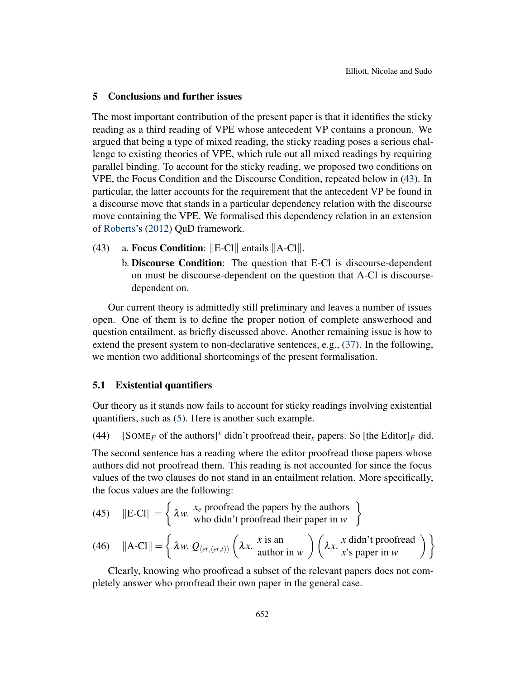### <span id="page-12-0"></span>5 Conclusions and further issues

The most important contribution of the present paper is that it identifies the sticky reading as a third reading of VPE whose antecedent VP contains a pronoun. We argued that being a type of mixed reading, the sticky reading poses a serious challenge to existing theories of VPE, which rule out all mixed readings by requiring parallel binding. To account for the sticky reading, we proposed two conditions on VPE, the Focus Condition and the Discourse Condition, repeated below in [\(43\)](#page-12-1). In particular, the latter accounts for the requirement that the antecedent VP be found in a discourse move that stands in a particular dependency relation with the discourse move containing the VPE. We formalised this dependency relation in an extension of [Roberts'](#page-14-1)s [\(2012\)](#page-14-1) QuD framework.

- <span id="page-12-1"></span>(43) a. Focus Condition:  $\Vert E\text{-}Cl\Vert$  entails  $\Vert A\text{-}Cl\Vert$ .
	- b. Discourse Condition: The question that E-Cl is discourse-dependent on must be discourse-dependent on the question that A-Cl is discoursedependent on.

Our current theory is admittedly still preliminary and leaves a number of issues open. One of them is to define the proper notion of complete answerhood and question entailment, as briefly discussed above. Another remaining issue is how to extend the present system to non-declarative sentences, e.g., [\(37\)](#page-10-1). In the following, we mention two additional shortcomings of the present formalisation.

#### 5.1 Existential quantifiers

Our theory as it stands now fails to account for sticky readings involving existential quantifiers, such as [\(5\)](#page-2-1). Here is another such example.

(44) [SOME<sub>F</sub> of the authors]<sup>x</sup> didn't proofread their<sub>x</sub> papers. So [the Editor]<sub>F</sub> did.

The second sentence has a reading where the editor proofread those papers whose authors did not proofread them. This reading is not accounted for since the focus values of the two clauses do not stand in an entailment relation. More specifically, the focus values are the following:

(45) 
$$
\|\text{E-C1}\| = \left\{ \lambda w. \begin{array}{c} x_e \text{ proofread the papers by the authors} \\ \text{who didn't proofread their paper in } w \end{array} \right\}
$$

(46) 
$$
||A-C1|| = \left\{ \lambda w. Q_{\langle et, \langle et, t \rangle \rangle} \left( \lambda x. \begin{array}{c} x \text{ is an} \\ \text{author in } w \end{array} \right) \left( \lambda x. \begin{array}{c} x \text{ didn't proofread} \\ x \text{'s paper in } w \end{array} \right) \right\}
$$

Clearly, knowing who proofread a subset of the relevant papers does not completely answer who proofread their own paper in the general case.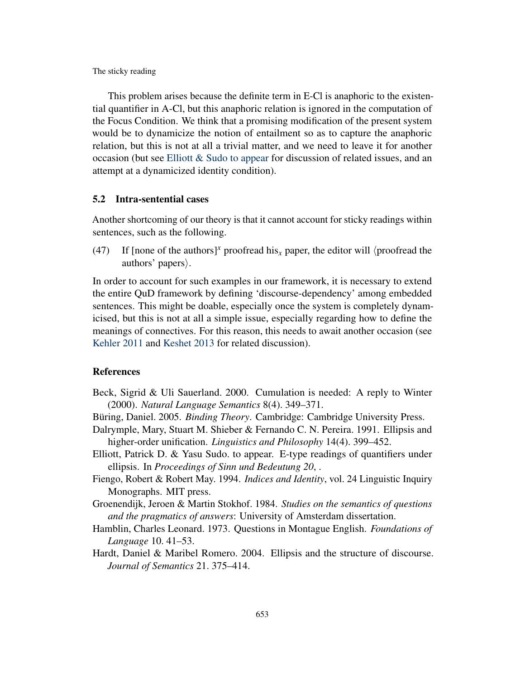This problem arises because the definite term in E-Cl is anaphoric to the existential quantifier in A-Cl, but this anaphoric relation is ignored in the computation of the Focus Condition. We think that a promising modification of the present system would be to dynamicize the notion of entailment so as to capture the anaphoric relation, but this is not at all a trivial matter, and we need to leave it for another occasion (but see Elliott  $&$  Sudo [to appear](#page-13-7) for discussion of related issues, and an attempt at a dynamicized identity condition).

#### 5.2 Intra-sentential cases

Another shortcoming of our theory is that it cannot account for sticky readings within sentences, such as the following.

(47) If [none of the authors]<sup>x</sup> proofread his<sub>x</sub> paper, the editor will  $\langle$  proofread the authors' papers $\rangle$ .

In order to account for such examples in our framework, it is necessary to extend the entire QuD framework by defining 'discourse-dependency' among embedded sentences. This might be doable, especially once the system is completely dynamicised, but this is not at all a simple issue, especially regarding how to define the meanings of connectives. For this reason, this needs to await another occasion (see [Kehler](#page-14-8) [2011](#page-14-8) and [Keshet](#page-14-11) [2013](#page-14-11) for related discussion).

### References

- <span id="page-13-3"></span>Beck, Sigrid & Uli Sauerland. 2000. Cumulation is needed: A reply to Winter (2000). *Natural Language Semantics* 8(4). 349–371.
- <span id="page-13-2"></span><span id="page-13-0"></span>Büring, Daniel. 2005. *Binding Theory*. Cambridge: Cambridge University Press.
- Dalrymple, Mary, Stuart M. Shieber & Fernando C. N. Pereira. 1991. Ellipsis and higher-order unification. *Linguistics and Philosophy* 14(4). 399–452.
- <span id="page-13-7"></span>Elliott, Patrick D. & Yasu Sudo. to appear. E-type readings of quantifiers under ellipsis. In *Proceedings of Sinn und Bedeutung 20*, .
- <span id="page-13-1"></span>Fiengo, Robert & Robert May. 1994. *Indices and Identity*, vol. 24 Linguistic Inquiry Monographs. MIT press.
- <span id="page-13-4"></span>Groenendijk, Jeroen & Martin Stokhof. 1984. *Studies on the semantics of questions and the pragmatics of answers*: University of Amsterdam dissertation.
- <span id="page-13-5"></span>Hamblin, Charles Leonard. 1973. Questions in Montague English. *Foundations of Language* 10. 41–53.
- <span id="page-13-6"></span>Hardt, Daniel & Maribel Romero. 2004. Ellipsis and the structure of discourse. *Journal of Semantics* 21. 375–414.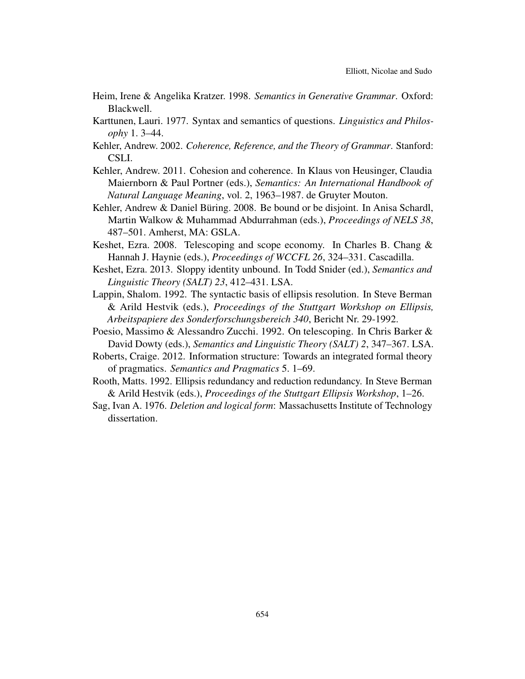- <span id="page-14-3"></span>Heim, Irene & Angelika Kratzer. 1998. *Semantics in Generative Grammar*. Oxford: Blackwell.
- <span id="page-14-9"></span>Karttunen, Lauri. 1977. Syntax and semantics of questions. *Linguistics and Philosophy* 1. 3–44.
- <span id="page-14-7"></span>Kehler, Andrew. 2002. *Coherence, Reference, and the Theory of Grammar*. Stanford: CSLI.
- <span id="page-14-8"></span>Kehler, Andrew. 2011. Cohesion and coherence. In Klaus von Heusinger, Claudia Maiernborn & Paul Portner (eds.), *Semantics: An International Handbook of Natural Language Meaning*, vol. 2, 1963–1987. de Gruyter Mouton.
- <span id="page-14-10"></span>Kehler, Andrew & Daniel Büring. 2008. Be bound or be disjoint. In Anisa Schardl, Martin Walkow & Muhammad Abdurrahman (eds.), *Proceedings of NELS 38*, 487–501. Amherst, MA: GSLA.
- <span id="page-14-6"></span>Keshet, Ezra. 2008. Telescoping and scope economy. In Charles B. Chang & Hannah J. Haynie (eds.), *Proceedings of WCCFL 26*, 324–331. Cascadilla.
- <span id="page-14-11"></span>Keshet, Ezra. 2013. Sloppy identity unbound. In Todd Snider (ed.), *Semantics and Linguistic Theory (SALT) 23*, 412–431. LSA.
- <span id="page-14-4"></span>Lappin, Shalom. 1992. The syntactic basis of ellipsis resolution. In Steve Berman & Arild Hestvik (eds.), *Proceedings of the Stuttgart Workshop on Ellipsis, Arbeitspapiere des Sonderforschungsbereich 340*, Bericht Nr. 29-1992.
- <span id="page-14-5"></span>Poesio, Massimo & Alessandro Zucchi. 1992. On telescoping. In Chris Barker & David Dowty (eds.), *Semantics and Linguistic Theory (SALT) 2*, 347–367. LSA.
- <span id="page-14-1"></span>Roberts, Craige. 2012. Information structure: Towards an integrated formal theory of pragmatics. *Semantics and Pragmatics* 5. 1–69.
- <span id="page-14-2"></span>Rooth, Matts. 1992. Ellipsis redundancy and reduction redundancy. In Steve Berman & Arild Hestvik (eds.), *Proceedings of the Stuttgart Ellipsis Workshop*, 1–26.
- <span id="page-14-0"></span>Sag, Ivan A. 1976. *Deletion and logical form*: Massachusetts Institute of Technology dissertation.